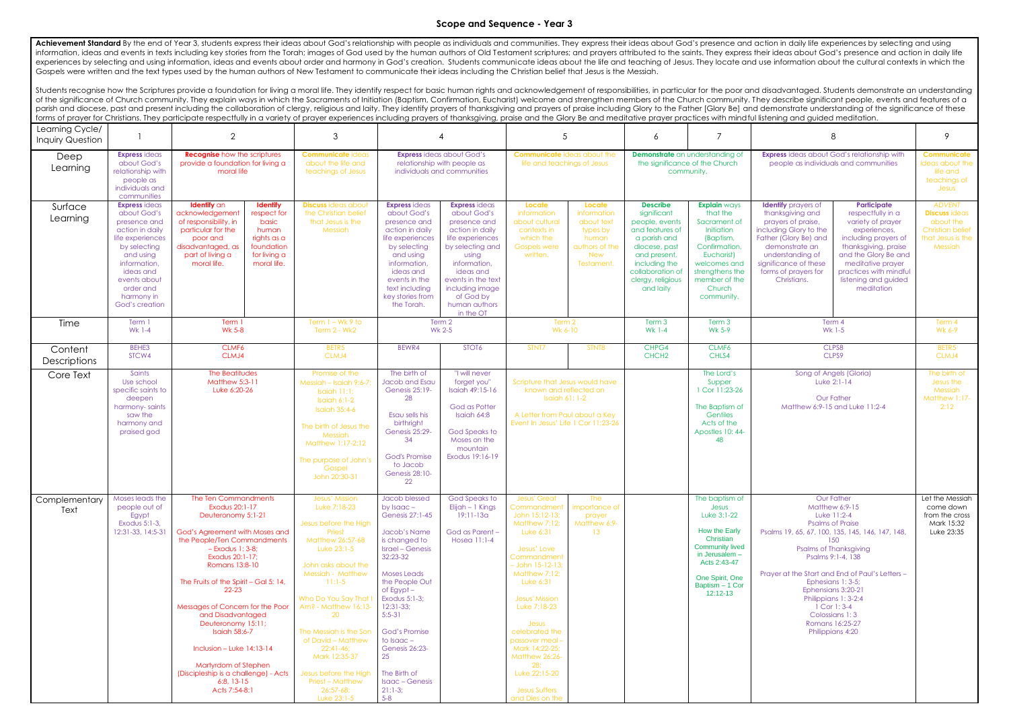## **Scope and Sequence - Year 3**

Achievement Standard By the end of Year 3, students express their ideas about God's relationship with people as individuals and communities. They express their ideas about God's presence and action in daily life experience information, ideas and events in texts including key stories from the Torah; images of God used by the human authors of Old Testament scriptures; and prayers attributed to the saints. They express their ideas about God's p experiences by selecting and using information, ideas and events about order and harmony in God's creation. Students communicate ideas about the life and teaching of Jesus. They locate and use information about the cultura Gospels were written and the text types used by the human authors of New Testament to communicate their ideas including the Christian belief that Jesus is the Messiah.

Students recognise how the Scriptures provide a foundation for living a moral life. They identify respect for basic human rights and acknowledgement of responsibilities, in particular for the poor and disadvantaged. Studen of the significance of Church community. They explain ways in which the Sacraments of Initiation (Baptism, Confirmation, Eucharist) welcome and strengthen members of the Church community. They describe significant people, parish and diocese, past and present including the collaboration of clergy, religious and laity. They identify prayers of thanksgiving and prayers of praise including Glory to the Father [Glory Be] and demonstrate understa forms of prayer for Christians. They participate respectfully in a variety of prayer experiences including prayers of thanksgiving, praise and the Glory Be and meditative prayer practices with mind ful listening and guided

| Learning Cycle/<br><b>Inquiry Question</b> |                                                                                                                                                                                                                   | $\overline{2}$                                                                                                                                                                                                                                                                                                                                                                                                                                                                        | $\mathcal{S}$                                                                                                                                                                                                                                                                                                                                                                                |                                                                                                                                                                                                                                                                                                                                                           | $\overline{4}$                                                                                                                                                                                                                           | $\overline{5}$                                                                                                                                                                                                                                                                                                                                                |                                                                                                 | 6                                                                                                                                                                                           | 7                                                                                                                                                                                     | 8                                                                                                                                                                                                                                                                                                                                                                                                       |                                                                                                                                                                                                                                    | 9                                                                                                             |
|--------------------------------------------|-------------------------------------------------------------------------------------------------------------------------------------------------------------------------------------------------------------------|---------------------------------------------------------------------------------------------------------------------------------------------------------------------------------------------------------------------------------------------------------------------------------------------------------------------------------------------------------------------------------------------------------------------------------------------------------------------------------------|----------------------------------------------------------------------------------------------------------------------------------------------------------------------------------------------------------------------------------------------------------------------------------------------------------------------------------------------------------------------------------------------|-----------------------------------------------------------------------------------------------------------------------------------------------------------------------------------------------------------------------------------------------------------------------------------------------------------------------------------------------------------|------------------------------------------------------------------------------------------------------------------------------------------------------------------------------------------------------------------------------------------|---------------------------------------------------------------------------------------------------------------------------------------------------------------------------------------------------------------------------------------------------------------------------------------------------------------------------------------------------------------|-------------------------------------------------------------------------------------------------|---------------------------------------------------------------------------------------------------------------------------------------------------------------------------------------------|---------------------------------------------------------------------------------------------------------------------------------------------------------------------------------------|---------------------------------------------------------------------------------------------------------------------------------------------------------------------------------------------------------------------------------------------------------------------------------------------------------------------------------------------------------------------------------------------------------|------------------------------------------------------------------------------------------------------------------------------------------------------------------------------------------------------------------------------------|---------------------------------------------------------------------------------------------------------------|
| Deep<br>Learning                           | <b>Express ideas</b><br>about God's<br>relationship with<br>people as<br>individuals and<br>communities                                                                                                           | <b>Recognise</b> how the scriptures<br>provide a foundation for living a<br>moral life                                                                                                                                                                                                                                                                                                                                                                                                | <b>Communicate ideas</b><br>about the life and<br>teachings of Jesus                                                                                                                                                                                                                                                                                                                         |                                                                                                                                                                                                                                                                                                                                                           | <b>Express</b> ideas about God's<br>relationship with people as<br>individuals and communities                                                                                                                                           | <b>Communicate</b> ideas about the<br>life and teachings of Jesus                                                                                                                                                                                                                                                                                             |                                                                                                 | <b>Demonstrate</b> an understanding of<br>the significance of the Church<br>community.                                                                                                      |                                                                                                                                                                                       | <b>Express</b> ideas about God's relationship with<br>people as individuals and communities                                                                                                                                                                                                                                                                                                             |                                                                                                                                                                                                                                    | <b>Communicate</b><br>ideas about the<br>life and<br>teachings of<br>Jesus                                    |
| Surface<br>Learning                        | <b>Express</b> ideas<br>about God's<br>presence and<br>action in daily<br>life experiences<br>by selecting<br>and using<br>information,<br>ideas and<br>events about<br>order and<br>harmony in<br>God's creation | <b>Identify</b> an<br><b>Identify</b><br>acknowledgement<br>respect for<br>of responsibility, in<br>basic<br>particular for the<br>human<br>rights as a<br>poor and<br>disadvantaged, as<br>foundation<br>part of living a<br>for living a<br>moral life.<br>moral life.                                                                                                                                                                                                              | <b>Discuss</b> ideas about<br>the Christian belief<br>that Jesus is the<br>Messiah                                                                                                                                                                                                                                                                                                           | <b>Express ideas</b><br>about God's<br>presence and<br>action in daily<br>life experiences<br>by selecting<br>and using<br>information,<br>ideas and<br>events in the<br>text including<br>key stories from<br>the Torah.                                                                                                                                 | <b>Express</b> ideas<br>about God's<br>presence and<br>action in daily<br>life experiences<br>by selecting and<br>using<br>information,<br>ideas and<br>events in the text<br>including image<br>of God by<br>human authors<br>in the OT | Locate<br>information<br>about cultural<br>contexts in<br>which the<br><b>Gospels were</b><br>written.                                                                                                                                                                                                                                                        | Locate<br>information<br>about text<br>types by<br>human<br>authors of the<br>New<br>Testament. | <b>Describe</b><br>significant<br>people, events<br>and features of<br>a parish and<br>diocese, past<br>and present,<br>including the<br>collaboration of<br>clergy, religious<br>and laity | <b>Explain ways</b><br>that the<br>Sacrament of<br>Initiation<br>(Baptism,<br>Confirmation,<br>Eucharist)<br>welcomes and<br>strengthens the<br>member of the<br>Church<br>community. | <b>Identify</b> prayers of<br>thanksgiving and<br>prayers of praise,<br>including Glory to the<br>Father (Glory Be) and<br>demonstrate an<br>understanding of<br>significance of these<br>forms of prayers for<br>Christians.                                                                                                                                                                           | Participate<br>respectfully in a<br>variety of prayer<br>experiences,<br>including prayers of<br>thanksgiving, praise<br>and the Glory Be and<br>meditative prayer<br>practices with mindful<br>listening and guided<br>meditation | <b>ADVENT</b><br><b>Discuss</b> ideas<br>about the<br><b>Christian belief</b><br>that Jesus is the<br>Messiah |
| Time                                       | Term 1<br><b>Wk 1-4</b>                                                                                                                                                                                           | Term 1<br><b>Wk 5-8</b>                                                                                                                                                                                                                                                                                                                                                                                                                                                               | Term $1 - Wk$ 9 to<br>Term 2 - Wk2                                                                                                                                                                                                                                                                                                                                                           |                                                                                                                                                                                                                                                                                                                                                           | Term 2<br>Wk 2-5                                                                                                                                                                                                                         | Term 2<br>Wk 6-10                                                                                                                                                                                                                                                                                                                                             |                                                                                                 | Term 3<br><b>Wk 1-4</b>                                                                                                                                                                     | Term 3<br>Wk 5-9                                                                                                                                                                      | Term 4<br>Wk 1-5                                                                                                                                                                                                                                                                                                                                                                                        |                                                                                                                                                                                                                                    | Term 4<br>Wk 6-9                                                                                              |
| Content<br>Descriptions                    | BEHE3<br>STCW4                                                                                                                                                                                                    | CLMF6<br>CLMJ4                                                                                                                                                                                                                                                                                                                                                                                                                                                                        | BETR <sub>5</sub><br>CLMJ4                                                                                                                                                                                                                                                                                                                                                                   | BEWR4                                                                                                                                                                                                                                                                                                                                                     | STOT6                                                                                                                                                                                                                                    | STNT7                                                                                                                                                                                                                                                                                                                                                         | STNT8                                                                                           | CHPG4<br>CHCH <sub>2</sub>                                                                                                                                                                  | CLMF6<br>CHLS4                                                                                                                                                                        | CLPS8<br>CLPS9                                                                                                                                                                                                                                                                                                                                                                                          |                                                                                                                                                                                                                                    | BETR5<br>CLMJ4                                                                                                |
| Core Text                                  | Saints<br>Use school<br>specific saints to<br>deepen<br>harmony-saints<br>saw the<br>harmony and<br>praised god                                                                                                   | The Beatitudes<br>Matthew 5:3-11<br>Luke 6:20-26                                                                                                                                                                                                                                                                                                                                                                                                                                      | Promise of the<br>Messiah - Isaiah 9:6-7;<br>Isaiah 11:1;<br>Isaiah 6:1-2<br><b>Isaiah 35:4-6</b><br>The birth of Jesus the<br>Messiah<br>Matthew 1:17-2:12<br>The purpose of John's<br>Gospel<br>John 20:30-31                                                                                                                                                                              | The birth of<br>Jacob and Esau<br>Genesis 25:19-<br>28<br>Esau sells his<br>birthright<br>Genesis 25:29-<br>34<br><b>God's Promise</b><br>to Jacob<br>Genesis 28:10-<br>22                                                                                                                                                                                | "I will never<br>forget you"<br>Isaiah 49:15-16<br>God as Potter<br>Isaiah 64:8<br>God Speaks to<br>Moses on the<br>mountain<br>Exodus 19:16-19                                                                                          | Scripture that Jesus would have<br>known and reflected on<br>Isaiah 61: 1-2<br>A Letter from Paul about a Key<br>Event In Jesus' Life 1 Cor 11;23-26                                                                                                                                                                                                          |                                                                                                 |                                                                                                                                                                                             | The Lord's<br>Supper<br>1 Cor 11:23-26<br>The Baptism of<br>Gentiles<br>Acts of the<br>Apostles 10: 44-<br>48                                                                         | Song of Angels (Gloria)<br>Luke 2:1-14<br><b>Our Father</b><br>Matthew 6:9-15 and Luke 11:2-4                                                                                                                                                                                                                                                                                                           |                                                                                                                                                                                                                                    | The birth of<br>Jesus the<br>Messiah<br>Matthew 1:17-<br>2:12                                                 |
| Complementary<br>Text                      | Moses leads the<br>people out of<br>Egypt<br>Exodus 5:1-3,<br>12:31-33, 14:5-31                                                                                                                                   | The Ten Commandments<br>Exodus 20:1-17<br>Deuteronomy 5:1-21<br>God's Agreement with Moses and<br>the People/Ten Commandments<br>$-$ Exodus 1: 3-8;<br>Exodus 20:1-17;<br>Romans 13:8-10<br>The Fruits of the Spirit - Gal 5: 14,<br>$22 - 23$<br>Messages of Concern for the Poor<br>and Disadvantaged<br>Deuteronomy 15:11;<br><b>Isaiah 58:6-7</b><br>Inclusion – Luke $14:13-14$<br>Martyrdom of Stephen<br>(Discipleship is a challenge) - Acts<br>$6:8, 13-15$<br>Acts 7:54-8:1 | Jesus' Mission<br>Luke 7:18-23<br>Jesus before the High<br>Priest<br>Matthew 26:57-68<br>Luke 23:1-5<br>John asks about the<br><b>Messiah - Matthew</b><br>$11:1-5$<br>Who Do You Say That I<br>Am? - Matthew 16:13-<br>20<br>The Messiah is the Son<br>of David - Matthew<br>$22:41-46;$<br>Mark 12:35-37<br>Jesus before the High<br><b>Priest - Matthew</b><br>$26:57-68;$<br>Luke 23:1-5 | Jacob blessed<br>by $Isaac -$<br>Genesis 27:1-45<br>Jacob's Name<br>is changed to<br><b>Israel - Genesis</b><br>32:23-32<br><b>Moses Leads</b><br>the People Out<br>of Egypt-<br>Exodus 5:1-3;<br>$12:31-33;$<br>$5:5-31$<br><b>God's Promise</b><br>to Isaac -<br>Genesis 26:23-<br>25<br>The Birth of<br><b>Isaac</b> – Genesis<br>$21:1-3;$<br>$5 - 8$ | God Speaks to<br>Elijah – 1 Kings<br>$19:11-13a$<br>God as Parent -<br>Hosea 11:1-4                                                                                                                                                      | <b>Jesus' Great</b><br>Commandment<br>John 15:12-13;<br>Matthew 7:12;<br>Luke 6:31<br>Jesus' Love<br>Commandment<br>$-$ John 15-12-13;<br>Matthew 7:12;<br>Luke $6:31$<br>Jesus' Mission<br>Luke 7:18-23<br>Jesus<br>celebrated the<br>passover meal -<br>Mark 14:22-25;<br>Matthew 26:26-<br>28;<br>Luke 22:15-20<br><b>Jesus Suffers</b><br>and Dies on the | The<br>importance of<br>prayer<br>Matthew 6:9-<br>13 <sup>7</sup>                               |                                                                                                                                                                                             | The baptism of<br>Jesus<br>Luke 3:1-22<br>How the Early<br>Christian<br><b>Community lived</b><br>in Jerusalem -<br>Acts 2:43-47<br>One Spirit, One<br>Baptism - 1 Cor<br>12:12-13    | <b>Our Father</b><br><b>Matthew 6:9-15</b><br>Luke 11:2-4<br><b>Psalms of Praise</b><br>Psalms 19, 65, 67, 100, 135, 145, 146, 147, 148,<br>150<br><b>Psalms of Thanksgiving</b><br>Psalms 9:1-4, 138<br>Prayer at the Start and End of Paul's Letters -<br>Ephesians 1: 3-5;<br>Ephensians 3:20-21<br>Philippians 1: 3-2:4<br>$1$ Cor $1:3-4$<br>Colossians 1:3<br>Romans 16:25-27<br>Philippians 4:20 |                                                                                                                                                                                                                                    | Let the Messiah<br>come down<br>from the cross<br>Mark 15:32<br>Luke 23:35                                    |